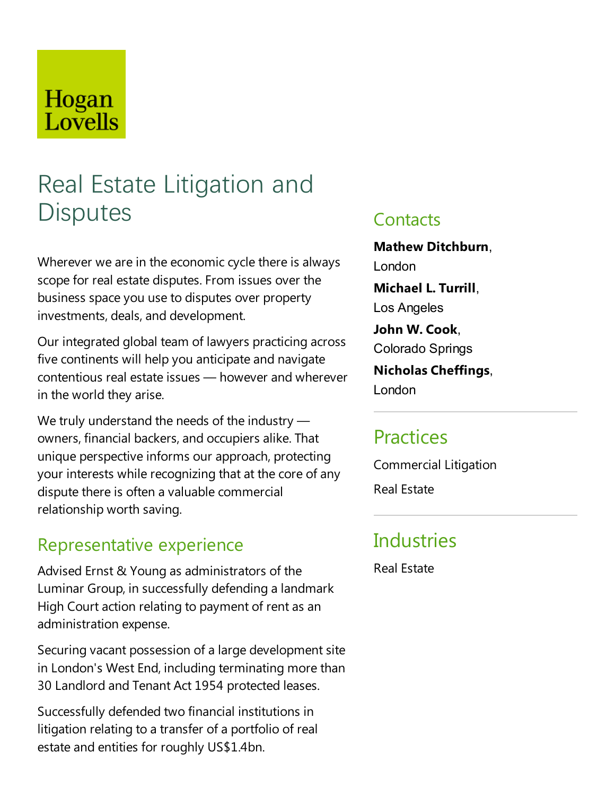## Hogan Lovells

# Real Estate Litigation and **Disputes**

Wherever we are in the economic cycle there is always scope for real estate disputes. From issues over the business space you use to disputes over property investments, deals, and development.

Our integrated global team of lawyers practicing across five continents will help you anticipate and navigate contentious real estate issues — however and wherever in the world they arise.

We truly understand the needs of the industry  $$ owners, financial backers, and occupiers alike. That unique perspective informs our approach, protecting your interests while recognizing that at the core of any dispute there is often a valuable commercial relationship worth saving.

### Representative experience

Advised Ernst & Young as administrators of the Luminar Group, in successfully defending alandmark High Court action relating to payment of rent as an administration expense.

Securing vacant possession of a large development site in London's West End, including terminating more than 30 Landlord and Tenant Act 1954 protected leases.

Successfully defended two financial institutions in litigation relating to a transfer of a portfolio of real estate and entities for roughly US\$1.4bn.

### **Contacts**

**Mathew Ditchburn**, London **Michael L. Turrill**, Los Angeles **John W. Cook**, Colorado Springs **Nicholas Cheffings**,

London

### **Practices**

Commercial Litigation Real Estate

### **Industries**

Real Estate